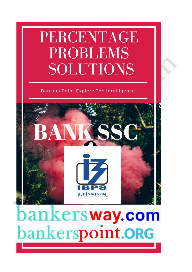## PERCENTAGE **PROBLEMS SOLUTIONS**

### Bankers Point Explore The Intelligence



# bankersway.com bankerspoint.ORG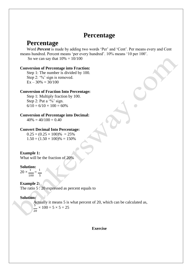## **Percentage**

## **Percentage**

Word *Percent* is made by adding two words 'Per' and 'Cent'. Per means every and Cent means hundred. Percent means 'per every hundred'. 10% means '10 per 100'. So we can say that  $10\% = 10/100$ 

**Conversion of Percentage into Fraction:**  Step 1: The number is divided by 100. Step 2: '%' sign is removed.  $Ex - 30\% = 30/100$ 

#### **Conversion of Fraction Into Percentage:**

Step 1: Multiply fraction by 100. Step 2: Put a  $\%$  sign.  $6/10 = 6/10 \times 100 = 60\%$ 

**Conversion of Percentage into Decimal:**

 $40\% = 40/100 = 0.40$ 

#### **Convert Decimal Into Percentage:**

 $0.25 = (0.25 \times 100)\% = 25\%$  $1.50 = (1.50 \times 100)\% = 150\%$ 

#### **Example 1:**

What will be the fraction of 20%

#### **Solution:**

 $20 \times \frac{1}{2} = \frac{1}{2}$ 100 5

**Example 2:** The ratio 5 : 20 expressed as percent equals to

#### **Solution:**

Actually it means 5 is what percent of 20, which can be calculated as,  $\frac{5}{2}$  × 100 = 5 × 5 = 25 20

**Exercise**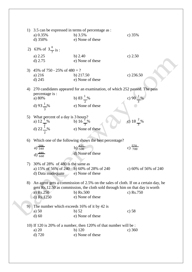|    | 1) 3.5 can be expressed in terms of percentage as :<br>a) $0.35%$<br>d) $350%$ | b) $3.5%$<br>e) None of these                                                     | c) $35%$              |
|----|--------------------------------------------------------------------------------|-----------------------------------------------------------------------------------|-----------------------|
| 2) | 63% of $3\frac{4}{7}$ is :                                                     |                                                                                   |                       |
|    | a) $2.25$<br>$d)$ 2.75                                                         | b) $2.40$<br>e) None of these                                                     | c) $2.50$             |
| 3) | 45% of 750 - 25% of $480 = ?$                                                  |                                                                                   |                       |
|    | a) 216                                                                         | b) $217.50$                                                                       | c) $236.50$           |
|    | $d)$ 245                                                                       | e) None of these                                                                  |                       |
| 4) |                                                                                | 270 candidates appeared for an examination, of which 252 passed. The pass         |                       |
|    | percentage is :<br>a) 80%                                                      | b) 83 $\frac{1}{2}$ %                                                             |                       |
|    |                                                                                |                                                                                   | c) 90 $\frac{1}{3}$ % |
|    | d) 93 $\frac{1}{3}$ %                                                          | e) None of these                                                                  |                       |
| 5) | What percent of a day is 3 hours?                                              |                                                                                   |                       |
|    |                                                                                | b) $16\frac{2}{3}\%$                                                              | c) $18\frac{2}{3}$ %  |
|    | a) $12\frac{1}{2}\%$<br>d) $22\frac{1}{2}\%$                                   | e) None of these                                                                  |                       |
| 6) |                                                                                | Which one of the following shows the best percentage?                             |                       |
|    | a) $\frac{384}{540}$                                                           | b) $\frac{425}{500}$                                                              | c) $\frac{570}{700}$  |
|    | d) $\frac{480}{660}$                                                           | d) None of these                                                                  |                       |
|    |                                                                                |                                                                                   |                       |
| 7) | 30% of 28% of 480 is the same as                                               |                                                                                   |                       |
|    | a) 15% of 56% of 240 b) 60% of 28% of 240<br>d) Data inadequate                | e) None of these                                                                  | c) 60% of 56% of 240  |
|    |                                                                                |                                                                                   |                       |
| 8) |                                                                                | An agent gets a commission of 2.5% on the sales of cloth. If on a certain day, he |                       |
|    |                                                                                | gets Rs.12.50 as commission, the cloth sold through him on that day is worth      |                       |
|    | a) $Rs.250$<br>d) Rs.1250                                                      | b) $\text{Rs.}500$<br>e) None of these                                            | c) $Rs.750$           |
|    |                                                                                |                                                                                   |                       |
| 9) | The number which exceeds 16% of it by 42 is                                    |                                                                                   |                       |
|    | a) $50$                                                                        | $b)$ 52                                                                           | c) 58                 |
|    | $d)$ 60                                                                        | e) None of these                                                                  |                       |
|    |                                                                                | 10) If 120 is 20% of a number, then 120% of that number will be :                 |                       |
|    | a) $20$                                                                        | $b)$ 120                                                                          | c) $360$              |
|    | $d)$ 720                                                                       | e) None of these                                                                  |                       |
|    |                                                                                |                                                                                   |                       |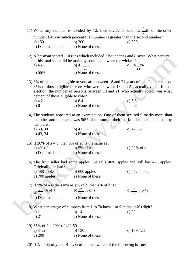|                                                        | 11) When any number is divided by 12, then dividend becomes $\frac{1}{x}$ th of the other                                                                                                                                                                                                          |                          |
|--------------------------------------------------------|----------------------------------------------------------------------------------------------------------------------------------------------------------------------------------------------------------------------------------------------------------------------------------------------------|--------------------------|
| a) 150                                                 | number. By how much percent first number is greater than the second number?<br>b) $200$                                                                                                                                                                                                            | c) 300                   |
| d) Data inadequate                                     | e) None of these                                                                                                                                                                                                                                                                                   |                          |
|                                                        | 12) A batsman scored 110 runs which included 3 boundaries and 8 sixes. What percent<br>A batsman scored 110 runs which included 3 community<br>of his total score did he make by running between the wickets?<br>b) 45 $\frac{6}{11}$ % c) 54 $\frac{6}{11}$ %                                     |                          |
| d) $55%$                                               | e) None of these                                                                                                                                                                                                                                                                                   |                          |
| percent of those eligible to vote?<br>a) $4.2$<br>d) 8 | 13) 8% of the people eligible to vote are between 18 and 21 years of age. In an election,<br>85% of those eligible to vote, who were between 18 and 21, actually voted. In that<br>election, the number of persons between 18 and 21, who actually voted, was what<br>b) $6.4$<br>e) None of these | c) 6.8                   |
| them are:                                              | 14) The students appeared at an examination. One of them secured 9 marks more than<br>the other and his marks was 56% of the sum of their marks. The marks obtained by                                                                                                                             |                          |
| a) 39, 30<br>d) $43, 34$                               | $b)$ 41, 32<br>e) None of these                                                                                                                                                                                                                                                                    | $c)$ 42, 33              |
| 15) If 20% of $a = b$ , then b% of 20 is the same as : |                                                                                                                                                                                                                                                                                                    |                          |
| a) 4% of a                                             | b) 5% of a                                                                                                                                                                                                                                                                                         | c) $20\%$ of a           |
| d) Data inadequate                                     | e) None of these                                                                                                                                                                                                                                                                                   |                          |
| Originally, he had:                                    | 16) The fruit seller had some apples. He sells 40% apples and still has 420 apples.                                                                                                                                                                                                                |                          |
| a) 588 apples                                          | b) $600$ apples                                                                                                                                                                                                                                                                                    | c) $672$ apples          |
| $d)$ 700 apples                                        | e) None of these                                                                                                                                                                                                                                                                                   |                          |
|                                                        | 17) If x% of a is the same as y% of b, then z% of b is:                                                                                                                                                                                                                                            |                          |
| a) $\frac{xy}{z}$ % of a                               | b) $\frac{yz}{x}$ % of a                                                                                                                                                                                                                                                                           | c) $\frac{xz}{x}$ % of a |
| d) Data inadequate                                     | $\boldsymbol{\chi}$<br>e) None of these                                                                                                                                                                                                                                                            | y                        |
|                                                        |                                                                                                                                                                                                                                                                                                    |                          |
| $a)$ 1                                                 | 18) What percentage of numbers from 1 to 70 have 1 or 9 in the unit's digit?<br>$b)$ 14                                                                                                                                                                                                            | c) $20$                  |
| $d)$ 21                                                | e) None of these                                                                                                                                                                                                                                                                                   |                          |
|                                                        |                                                                                                                                                                                                                                                                                                    |                          |
| 19) 65% of $? = 20\%$ of 422.50<br>a) 84.5             | $b)$ 130                                                                                                                                                                                                                                                                                           | c) $139.425$             |
| d) 200                                                 | e) None of these                                                                                                                                                                                                                                                                                   |                          |
|                                                        |                                                                                                                                                                                                                                                                                                    |                          |
|                                                        | 20) If $A = x\%$ of y and $B = y\%$ of x, then which of the following is true?                                                                                                                                                                                                                     |                          |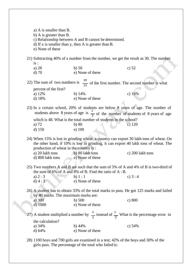| a) A is smaller than B.<br>b) A is greater than B. |                                                             |                                                                                                                                                                                                                                                                                   |
|----------------------------------------------------|-------------------------------------------------------------|-----------------------------------------------------------------------------------------------------------------------------------------------------------------------------------------------------------------------------------------------------------------------------------|
|                                                    | c) Relationship between A and B cannot be determined.       |                                                                                                                                                                                                                                                                                   |
|                                                    | d) If x is smaller than y, then A is greater than B.        |                                                                                                                                                                                                                                                                                   |
| e) None of these                                   |                                                             |                                                                                                                                                                                                                                                                                   |
|                                                    |                                                             | 21) Subtracting 40% of a number from the number, we get the result as 30. The number                                                                                                                                                                                              |
| is:                                                |                                                             |                                                                                                                                                                                                                                                                                   |
| a) $28$                                            | $b)$ 50                                                     | c) $52$                                                                                                                                                                                                                                                                           |
| $d$ ) 70                                           | e) None of these                                            |                                                                                                                                                                                                                                                                                   |
|                                                    |                                                             | 22) The sum of two numbers is $\frac{28}{25}$ of the first number. The second number is what                                                                                                                                                                                      |
| percent of the first?                              |                                                             |                                                                                                                                                                                                                                                                                   |
| a) 12%                                             | b) $14%$                                                    | c) $16%$                                                                                                                                                                                                                                                                          |
| $d)$ 18%                                           | e) None of these                                            |                                                                                                                                                                                                                                                                                   |
|                                                    |                                                             | 23) In a certain school, 20% of students are below 8 years of age. The number of<br>students above 8 years of age is $\frac{2}{3}$ of the number of students of 8 years of age                                                                                                    |
|                                                    |                                                             | which is 48. What is the total number of students in the school?                                                                                                                                                                                                                  |
|                                                    |                                                             |                                                                                                                                                                                                                                                                                   |
|                                                    |                                                             |                                                                                                                                                                                                                                                                                   |
| a) 72<br>$d)$ 150                                  | b) 80<br>e) 100                                             | c) $120$<br>24) When 15% is lost in grinding wheat, a country can export 30 lakh tons of wheat. On                                                                                                                                                                                |
| a) 20 lakh tons                                    | production of wheat in the country is:<br>b) 80 lakh tons   | c) 200 lakh tons                                                                                                                                                                                                                                                                  |
| d) 800 lakh tons                                   | e) None of these                                            |                                                                                                                                                                                                                                                                                   |
|                                                    | the sum of 6% of A and 8% of B. Find the ratio of $A : B$ . |                                                                                                                                                                                                                                                                                   |
| a) $2:3$                                           | b) $1:1$                                                    | c) $3:4$                                                                                                                                                                                                                                                                          |
| d) 4:3                                             | e) None of these                                            |                                                                                                                                                                                                                                                                                   |
|                                                    |                                                             |                                                                                                                                                                                                                                                                                   |
|                                                    | by 40 marks. The maximum marks are:                         |                                                                                                                                                                                                                                                                                   |
| a) $300$                                           | b) $500$                                                    | the other hand, if 10% is lost in grinding, it can export 40 lakh tons of wheat. The<br>25) Two numbers A and B are such that the sum of 5% of A and 4% of B is two-third of<br>26) A student has to obtain 33% of the total marks to pass. He got 125 marks and failed<br>c) 800 |
| d) 1000                                            | e) None of these                                            |                                                                                                                                                                                                                                                                                   |
|                                                    |                                                             |                                                                                                                                                                                                                                                                                   |
| the calculation?                                   |                                                             |                                                                                                                                                                                                                                                                                   |
| a) 34%                                             | b) $44%$<br>e) None of these                                | 27) A student multiplied a number by $\frac{3}{5}$ instead of $\frac{5}{3}$ What is the percentage error in<br>c) $54%$                                                                                                                                                           |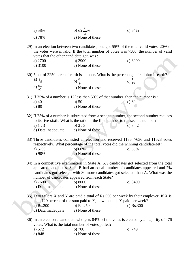| d) 78%<br>e) None of these<br>29) In an election between two candidates, one got 55% of the total valid votes, 20% of<br>the votes were invalid. If the total number of votes was 7500, the number of valid<br>votes that the other candidate got, was:<br>c) 3000<br>a) 2700<br>b) 2900<br>e) None of these<br>$d)$ 3100<br>30) 5 out of 2250 parts of earth is sulphur. What is the percentage of sulphur in earth?<br>a) $\frac{11}{50}$<br>d) $\frac{2}{45}$<br>b) $\frac{2}{9}$<br>c) $\frac{1}{45}$<br>e) None of these<br>31) If 35% of a number is 12 less than 50% of that number, then the number is :<br>a) $40$<br>$b)$ 50<br>c) $60$<br>e) None of these<br>$d)$ 80<br>32) If 25% of a number is subtracted from a second number, the second number reduces<br>to its five-sixth. What is the ratio of the first number to the second number?<br>a) $1:3$<br>b) $2:3$<br>c) $3:2$<br>d) Data inadequate<br>e) None of these<br>33) Three candidates contested an election and received 1136, 7636 and 11628 votes<br>respectively. What percentage of the total votes did the winning candidate get?<br>b) 60%<br>a) 57%<br>c) $65%$<br>e) None of these<br>d) 90%<br>34) In a competitive examination in State A, 6% candidates got selected from the total<br>appeared candidates. State B had an equal number of candidates appeared and 7%<br>candidates got selected with 80 more candidates got selected than A. What was the<br>number of candidates appeared from each State?<br>a) 7600<br>b) 8000<br>c) 8400<br>d) Data inadequate<br>e) None of these<br>35) Two tailors X and Y are paid a total of Rs.550 per week by their employer. If X is<br>paid 120 percent of the sum paid to Y, how much is Y paid per week?<br>a) Rs.200<br>b) $Rs.250$<br>c) Rs.300<br>d) Data inadequate<br>e) None of these<br>36) In an election a candidate who gets 84% off the votes is elected by a majority of 476<br>votes. What is the total number of votes polled?<br>a) 672<br>$b)$ 700<br>c) $749$ | a) 58% | b) $62\frac{2}{3}\%$ | c) $64%$ |
|----------------------------------------------------------------------------------------------------------------------------------------------------------------------------------------------------------------------------------------------------------------------------------------------------------------------------------------------------------------------------------------------------------------------------------------------------------------------------------------------------------------------------------------------------------------------------------------------------------------------------------------------------------------------------------------------------------------------------------------------------------------------------------------------------------------------------------------------------------------------------------------------------------------------------------------------------------------------------------------------------------------------------------------------------------------------------------------------------------------------------------------------------------------------------------------------------------------------------------------------------------------------------------------------------------------------------------------------------------------------------------------------------------------------------------------------------------------------------------------------------------------------------------------------------------------------------------------------------------------------------------------------------------------------------------------------------------------------------------------------------------------------------------------------------------------------------------------------------------------------------------------------------------------------------------------------------------------------------------------------------------------------|--------|----------------------|----------|
|                                                                                                                                                                                                                                                                                                                                                                                                                                                                                                                                                                                                                                                                                                                                                                                                                                                                                                                                                                                                                                                                                                                                                                                                                                                                                                                                                                                                                                                                                                                                                                                                                                                                                                                                                                                                                                                                                                                                                                                                                      |        |                      |          |
|                                                                                                                                                                                                                                                                                                                                                                                                                                                                                                                                                                                                                                                                                                                                                                                                                                                                                                                                                                                                                                                                                                                                                                                                                                                                                                                                                                                                                                                                                                                                                                                                                                                                                                                                                                                                                                                                                                                                                                                                                      |        |                      |          |
|                                                                                                                                                                                                                                                                                                                                                                                                                                                                                                                                                                                                                                                                                                                                                                                                                                                                                                                                                                                                                                                                                                                                                                                                                                                                                                                                                                                                                                                                                                                                                                                                                                                                                                                                                                                                                                                                                                                                                                                                                      |        |                      |          |
|                                                                                                                                                                                                                                                                                                                                                                                                                                                                                                                                                                                                                                                                                                                                                                                                                                                                                                                                                                                                                                                                                                                                                                                                                                                                                                                                                                                                                                                                                                                                                                                                                                                                                                                                                                                                                                                                                                                                                                                                                      |        |                      |          |
|                                                                                                                                                                                                                                                                                                                                                                                                                                                                                                                                                                                                                                                                                                                                                                                                                                                                                                                                                                                                                                                                                                                                                                                                                                                                                                                                                                                                                                                                                                                                                                                                                                                                                                                                                                                                                                                                                                                                                                                                                      |        |                      |          |
|                                                                                                                                                                                                                                                                                                                                                                                                                                                                                                                                                                                                                                                                                                                                                                                                                                                                                                                                                                                                                                                                                                                                                                                                                                                                                                                                                                                                                                                                                                                                                                                                                                                                                                                                                                                                                                                                                                                                                                                                                      |        |                      |          |
|                                                                                                                                                                                                                                                                                                                                                                                                                                                                                                                                                                                                                                                                                                                                                                                                                                                                                                                                                                                                                                                                                                                                                                                                                                                                                                                                                                                                                                                                                                                                                                                                                                                                                                                                                                                                                                                                                                                                                                                                                      |        |                      |          |
|                                                                                                                                                                                                                                                                                                                                                                                                                                                                                                                                                                                                                                                                                                                                                                                                                                                                                                                                                                                                                                                                                                                                                                                                                                                                                                                                                                                                                                                                                                                                                                                                                                                                                                                                                                                                                                                                                                                                                                                                                      |        |                      |          |
| e) None of these<br>d) 848                                                                                                                                                                                                                                                                                                                                                                                                                                                                                                                                                                                                                                                                                                                                                                                                                                                                                                                                                                                                                                                                                                                                                                                                                                                                                                                                                                                                                                                                                                                                                                                                                                                                                                                                                                                                                                                                                                                                                                                           |        |                      |          |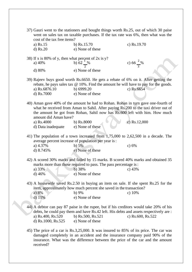| 37) Gauri went to the stationers and bought things worth Rs.25, out of which 30 paise<br>went on sales tax on taxable purchases. If the tax rate was 6%, then what was the<br>cost of the tax free items? |                                                                                                                                                                                                                                                                     |                      |
|-----------------------------------------------------------------------------------------------------------------------------------------------------------------------------------------------------------|---------------------------------------------------------------------------------------------------------------------------------------------------------------------------------------------------------------------------------------------------------------------|----------------------|
| a) Rs.15                                                                                                                                                                                                  | b) $Rs.15.70$                                                                                                                                                                                                                                                       | c) Rs.19.70          |
| $d)$ Rs.20                                                                                                                                                                                                | e) None of these                                                                                                                                                                                                                                                    |                      |
|                                                                                                                                                                                                           |                                                                                                                                                                                                                                                                     |                      |
| 38) If x is 80% of y, then what percent of 2x is y?<br>a) 40%                                                                                                                                             | b) $62\frac{1}{2}\%$                                                                                                                                                                                                                                                | c) $66\frac{2}{3}\%$ |
| d) 80%                                                                                                                                                                                                    | e) None of these                                                                                                                                                                                                                                                    |                      |
|                                                                                                                                                                                                           | 39) Rajeev buys good worth Rs.6650. He gets a rebate of 6% on it. After getting the<br>rebate, he pays sales tax @ 10%. Find the amount he will have to pay for the goods.                                                                                          |                      |
| a) Rs.6876.10                                                                                                                                                                                             | b) $6999.20$                                                                                                                                                                                                                                                        | c) Rs.6654           |
| d) Rs.7000                                                                                                                                                                                                | e) None of these                                                                                                                                                                                                                                                    |                      |
| amount did Aman have?<br>a) Rs.4000                                                                                                                                                                       | 40) Aman gave 40% of the amount he had to Rohan. Rohan in turn gave one-fourth of<br>what he received from Aman to Sahil. After paying Rs.200 to the taxi driver out of<br>the amount he got from Rohan, Sahil now has Rs.600 left with him. How much<br>b) Rs.8000 | $c)$ Rs.12,000       |
|                                                                                                                                                                                                           |                                                                                                                                                                                                                                                                     |                      |
| d) Data inadequate                                                                                                                                                                                        | e) None of these                                                                                                                                                                                                                                                    |                      |
| a) 4.37%<br>d) $8.745%$                                                                                                                                                                                   | 41) The population of a town increased from $1,75,000$ to $2,62,500$ in a decade. The<br>average percent increase of population per year is:<br>b) $5%$<br>e) None of these                                                                                         | c) $6%$              |
| a) 33%<br>d) 46%                                                                                                                                                                                          | 42) A scored 30% marks and failed by 15 marks. B scored 40% marks and obtained 35<br>marks more than those required to pass. The pass percentage is:<br>b) 38%<br>e) None of these                                                                                  | c) $43%$             |
| a) 8%<br>$d)$ 11%                                                                                                                                                                                         | 43) A housewife saved Rs.2.50 in buying an item on sale. If she spent Rs.25 for the<br>item, approximately how much percent she saved in the transaction?<br>$b) 9\%$<br>e) None of these                                                                           | c) $10\%$            |
| a) Rs.400, Rs.520<br>d) Rs.1000, Rs.525                                                                                                                                                                   | 44) A debtor can pay 87 paise in the rupee, but if his creditors would take 20% of his<br>debts, he could pay them and have Rs.42 left. His debts and assets respectively are :<br>b) Rs.500, Rs.521<br>e) None of these                                            | c) Rs.600, Rs.522    |
| received?                                                                                                                                                                                                 | 45) The price of a car is Rs.3,25,000. It was insured to 85% of its price. The car was<br>damaged completely in an accident and the insurance company paid 90% of the<br>insurance. What was the difference between the price of the car and the amount             |                      |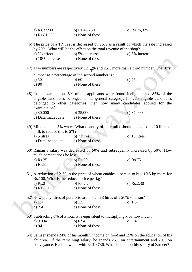| a) Rs.32,500<br>d) Rs.81,250              | b) $Rs.48,750$<br>e) None of these                                                                                                                                                                                                                      | c) $Rs.76,375$ |
|-------------------------------------------|---------------------------------------------------------------------------------------------------------------------------------------------------------------------------------------------------------------------------------------------------------|----------------|
|                                           | 46) The price of a T.V. set is decreased by 25% as a result of which the sale increased<br>by 20%. What will be the effect on the total revenue of the shop?                                                                                            |                |
| a) No effect                              | b) 5% decrease                                                                                                                                                                                                                                          | c) 5% increase |
| d) 10% increase                           | e) None of these                                                                                                                                                                                                                                        |                |
|                                           | 47) Two numbers are respectively 12 $\frac{1}{2}$ % and 25% more than a third number. The first                                                                                                                                                         |                |
|                                           | number as a percentage of the second number is :                                                                                                                                                                                                        |                |
| a) 50                                     | $b)$ 60                                                                                                                                                                                                                                                 | c) $75$        |
| d)90                                      | e) None of these                                                                                                                                                                                                                                        |                |
| examination?                              | 48) In an examination, 5% of the applicants were found ineligible and 85% of the<br>eligible candidates belonged to the general category. If 4275 eligible candidates<br>belonged to other categories, then how many candidates applied for the         |                |
| a) 30,000                                 | b) $35,000$                                                                                                                                                                                                                                             | c) $37,000$    |
| d) Data inadequate                        | e) None of these                                                                                                                                                                                                                                        |                |
|                                           |                                                                                                                                                                                                                                                         |                |
| milk to reduce this to 2%?                | 49) Milk contains 5% water. What quantity of pure milk should be added to 10 litres of                                                                                                                                                                  |                |
| a) 5 litres                               | $b)$ 7 litres                                                                                                                                                                                                                                           | c) 15 litres   |
| d) Data inadequate                        | e) None of these                                                                                                                                                                                                                                        |                |
| much percent does he loss?                | 50) Raman's salary was decreased by 50% and subsequently increased by 50%. How                                                                                                                                                                          |                |
| a) Rs.25                                  | b) $Rs.50$                                                                                                                                                                                                                                              | c) $Rs.75$     |
| $d)$ Rs.85                                | e) None of these                                                                                                                                                                                                                                        |                |
|                                           | 51) A reduction of 21% in the price of wheat enables a person to buy 10.5 kg more for                                                                                                                                                                   |                |
| Rs.100. What is the reduced price per kg? |                                                                                                                                                                                                                                                         |                |
| a) $Rs.2$                                 | b) $Rs.2.25$                                                                                                                                                                                                                                            | c) $Rs.2.30$   |
| d) $Rs.2.50$                              | e) None of these                                                                                                                                                                                                                                        |                |
|                                           | 52) How many litres of pure acid are there in 8 litres of a 20% solution?                                                                                                                                                                               |                |
| a) $1.4$                                  | $b)$ 1.5                                                                                                                                                                                                                                                | c) $1.6$       |
| $d)$ 2.4                                  | e) None of these                                                                                                                                                                                                                                        |                |
|                                           | 53) Subtracting 6% of x from x is equivalent to multiplying x by how much?                                                                                                                                                                              |                |
| a) 0.094                                  | b) 0.94                                                                                                                                                                                                                                                 | c) $9.4$       |
| d) 94                                     | e) None of these                                                                                                                                                                                                                                        |                |
|                                           | 54) Sameer spends 24% of his monthly income on food and 15% on the education of his<br>children. Of the remaining salary, he spends 25% on entertainment and 20% on<br>conveyance. He is now left with Rs.10,736. What is the monthly salary of Sameer? |                |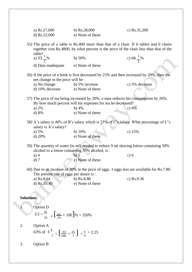|                   | a) $Rs.27,600$<br>d) $Rs.32,000$                                                                                                                                                                          | b) $Rs.28,000$<br>e) None of these                                                       | c) Rs.31,200         |
|-------------------|-----------------------------------------------------------------------------------------------------------------------------------------------------------------------------------------------------------|------------------------------------------------------------------------------------------|----------------------|
|                   | 55) The price of a table is Rs.400 more than that of a chair. If 6 tables and 6 chairs<br>together cost Rs.4800, by what percent is the price of the chair less than that of the<br>$table?$ <sub>1</sub> |                                                                                          |                      |
|                   | a) $33\frac{1}{3}$ %                                                                                                                                                                                      | b) $50%$                                                                                 | c) $66\frac{2}{3}\%$ |
|                   | d) Data inadequate                                                                                                                                                                                        | e) None of these                                                                         |                      |
|                   | net change in the price will be :                                                                                                                                                                         | 56) If the price of a book is first decreased by 25% and then increased by 20%, then the |                      |
|                   | a) No change<br>d) 10% decrease                                                                                                                                                                           | b) 5% increase<br>e) None of these                                                       | c) 5% decrease       |
|                   | 57) The price of tea being increased by 20%, a man reduces his consumption by 20%.<br>By how much percent will his expenses for tea be decreased?                                                         |                                                                                          |                      |
|                   | a) $2\%$<br>d) 8%                                                                                                                                                                                         | $b)$ 4%<br>e) None of these                                                              | c) $6%$              |
|                   | salary is A's salary?                                                                                                                                                                                     | 58) A's salary is 40% of B's salary which is 25% of C's salary. What percentage of C's   |                      |
|                   | a) 5%<br>d) 20%                                                                                                                                                                                           | b) $10%$<br>e) None of these                                                             | c) $15%$             |
|                   | alcohol to a lotion containing 30% alcohol, is:                                                                                                                                                           | 59) The quantity of water (in ml) needed to reduce 9 ml shaving lotion containing 50%    |                      |
|                   | $a)$ 4<br>$d)$ 7                                                                                                                                                                                          | $b)$ 5<br>e) None of these                                                               | c) 6                 |
|                   | 60) Due to an increase of 30% in the price of eggs, 3 eggs less are available for Rs.7.80.<br>The present rate of eggs per dozen is:                                                                      |                                                                                          |                      |
|                   | a) Rs.8.64<br>d) Rs.10.40                                                                                                                                                                                 | $b)$ Rs.8.88<br>e) None of these                                                         | c) $Rs.9.36$         |
|                   |                                                                                                                                                                                                           |                                                                                          |                      |
| <b>Solutions:</b> |                                                                                                                                                                                                           |                                                                                          |                      |
| $\mathbf{1}$ .    | Option D                                                                                                                                                                                                  |                                                                                          |                      |
|                   | $3.5 = \frac{35}{10} = \left[\frac{35}{10} \times 100\right]\% = 350\%$                                                                                                                                   |                                                                                          |                      |
| 2.                | Option A<br>63% of $3\frac{4}{7} = \left[\frac{63}{100} \times \frac{25}{7}\right] = \frac{4}{9} = 2.25$                                                                                                  |                                                                                          |                      |
| 3.                | <b>Option B</b>                                                                                                                                                                                           |                                                                                          |                      |
|                   |                                                                                                                                                                                                           |                                                                                          |                      |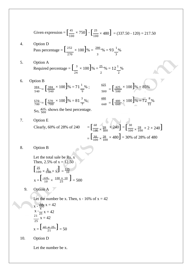Given expression = 
$$
\left[\frac{45}{100} \times 750\right] - \left[\frac{25}{100} \times 480\right] = (337.50 - 120) = 217.50
$$
  
\n4. Option D  
\nPass percentage =  $\left[\frac{252}{270} \times 100\right] \% = \frac{280}{3} \% = 93\frac{1}{3}\%$   
\n5. Option A  
\nRequired percentage =  $\left[\frac{3}{24} \times 100\right] \% = \frac{25}{2} \% = 12\frac{1}{2}\%$   
\n6. Option B  
\n $\frac{384}{540} = \left[\frac{384}{540} \times 100\right] \% = 71\frac{1}{9}\%$ ;  $\frac{425}{500} = \left[\frac{425}{500} \times 100\right] \% = 85\%$   
\n $\frac{570}{700} = \frac{570}{700} \times 100\frac{1}{8} = 81\frac{3}{7}\%$ ;  $\frac{480}{660} = \left[\frac{480}{660} \times 100\right] \% = 72\frac{8}{11}\%$   
\nSo,  $\frac{425}{500}$  shows the best percentage.  
\n7. Option E  
\nClearly, 60% of 28% of 240 =  $\left[\frac{60}{100} \times \frac{28}{100} \times 240\right] = \left[\frac{30}{100} \times \frac{28}{100} \times 2 \times 240\right]$   
\n $= \left[\frac{30}{100} \times \frac{28}{100} \times 480\right] = 30\%$  of 28% of 480  
\n8. Option B  
\nLet the total sale be Rs. x  
\nThen, 2.5% of x = 12.50  
\n $\left[\frac{25}{100} \times \frac{1}{100} \times x\right] = \frac{125}{10}$ 

$$
x = \left[\frac{125}{10} \times \frac{100 \times 10}{25}\right] = 500
$$

9. Option A

Let the number be x. Then,  $x - 16\%$  of  $x = 42$ 

$$
x - \frac{16}{10}x = 42
$$
  
\n
$$
x - \frac{16}{25}x = 42
$$
  
\n
$$
\frac{21}{25}x = 42
$$
  
\n
$$
x = \left[\frac{42 \times 25}{21}\right] = 50
$$

10. Option D

Let the number be x.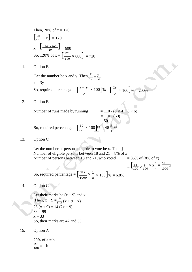Then, 20% of x = 120  
\n
$$
\begin{bmatrix}\n20 \times x \\
100 \times x\n\end{bmatrix} = 120
$$
\n
$$
x = \begin{bmatrix}\n120 \times x \text{ and } 100 \\
20 \times 60 \times 120\% \text{ of } x = \begin{bmatrix}\n120 \\
120 \times 600\n\end{bmatrix} = 720
$$
\n11. Option B  
\nLet the number be x and y. Then,  $\frac{x}{12} = \frac{y}{4}$   
\n
$$
x = 3y
$$
\nSo, required percentage = 
$$
\begin{bmatrix}\nx - y \\
y \n\end{bmatrix} \times 100 \begin{bmatrix}\n96 \times 64 + 8 \times 6\n\end{bmatrix} = 200\%
$$
\n12. Option B  
\nNumber of runs made by running  
\n
$$
= 110 \cdot (8 \times 4 + 8 \times 6)
$$
\n
$$
= 110 \cdot (60)
$$
\nSo, required percentage = 
$$
\begin{bmatrix}\n50 \\
50\n\end{bmatrix} \times 100 \begin{bmatrix}\n96 \times 45 \\
50\n\end{bmatrix} = 50
$$
\n13. Option C  
\nLet the number of persons eligible to vote be x. Then,  
\nNumber of eligible persons between 18 and 21 = 8% of x  
\nNumber of eligible persons between 18 and 21 = 8% of x  
\nNumber of persons between 18 and 21, who voted = 85% of (8% of x)  
\nNumber of persons between 18 and 21, who voted = 85% of (8% of x)  
\n
$$
= \begin{bmatrix}\n68 \\
1600 \times 100\n\end{bmatrix} \times \frac{8}{100} \times \frac{1}{1000} \times \frac{1}{1000} \times \frac{1}{1000} = \frac{68}{1000} \times \frac{8}{100} \times \frac{1}{1000} = \frac{68}{1000} \times \frac{8}{100} = \frac{68}{1000} \times \frac{8}{100} = \frac{1}{1000} \times \frac{8}{100} = \frac{1}{1000} \times \frac{8}{100} = \frac{1}{1000} \times \frac{8}{100} = \frac{1}{
$$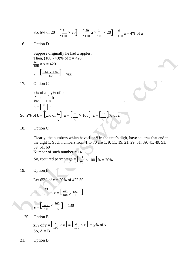So, b% of 20 = 
$$
\left[\frac{b}{100} \times 20\right]
$$
 =  $\left[\frac{20}{100} a \times \frac{1}{100} \times 20\right]$  =  $\frac{4}{100} a$  = 4% of a

16. Option D

 $x = \left[ \frac{420 \times 100}{60} \right] = 700$ Suppose originally he had x apples. Then,  $(100 - 40)\%$  of  $x = 420$  $\frac{60}{100} \times x = 420$ 

17. Option C

x% of a = y% of b  
\n
$$
\frac{x}{100} \text{ a} = \frac{y}{100} \text{ b}
$$
\n
$$
\text{b} = \left[\frac{x}{y}\right] \text{ a}
$$
\nSo, z% of b =  $\left[z\% \text{ of } \frac{x}{y}\right]$  a =  $\left[\frac{xz}{y} \times 100\right]$  a =  $\left[\frac{xz}{y}\right]$ % of a.

18. Option C

So, required percentage =  $\left[\frac{14}{70}\right]$ Clearly, the numbers which have 1 or 9 in the unit's digit, have squares that end in the digit 1. Such numbers from 1 to 70 are 1, 9, 11, 19, 21, 29, 31, 39, 41, 49, 51, 59, 61, 69 Number of such number  $= 14$  $\frac{14}{70} \times 100$ ]% = 20%

19. Option B

Let 65% of  $x = 20%$  of 422.50

Then, 
$$
\frac{65}{100} \times x = \left[\frac{20}{100} \times \frac{4225}{10}\right]
$$

$$
x = \left[\frac{845}{10} \times \frac{100}{65}\right] = 130
$$

20. Option E

**x**% of y = 
$$
\left[\frac{x}{100} \times y\right]
$$
 =  $\left[\frac{y}{100} \times x\right]$  = y% of x  
So, A = B

21. Option B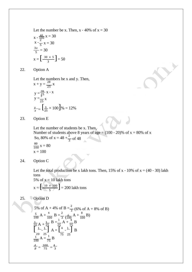Let the number be x. Then,  $x - 40\%$  of  $x = 30$ 

$$
x - \frac{40}{100}x = 30
$$
  
\n
$$
x - \frac{2}{5}x = 30
$$
  
\n
$$
\frac{3x}{5} = 30
$$
  
\n
$$
x = \left[\frac{30 \times 5}{3}\right] = 50
$$

22. Option A

 $\frac{y}{x}$  =  $\begin{bmatrix} 3 \\ 2! \end{bmatrix}$ Let the numbers be x and y. Then,  $x + y = \frac{28}{25}x$  $y = \frac{28}{25}$  $y = \frac{3}{5}$ 25 x - x x  $\frac{y}{x} = \left[\frac{3}{25} \times 100\right]$ % = 12%

23. Option E

Let the number of students be x. Then, Number of students above 8 years of age  $= (100 - 20)$ % of x = 80% of x So, 80% of  $x = 48 + \frac{2}{3}$  of 48  $\frac{80}{100}x = 80$  $x = 100$ 

24. Option C

Let the total production be x lakh tons. Then,  $15\%$  of x -  $10\%$  of x =  $(40 - 30)$  lakh tons 5% of  $x = 10$  lakh tons

X

$$
x = \left[\frac{10 \times 100}{5}\right] = 200
$$
lakh tons

25. Option D

5% of A + 4% of B = 
$$
\frac{2}{3}
$$
 (6% of A + 8% of B)  
\n $\frac{5}{100}$  A +  $\frac{4}{100}$  B =  $\frac{2}{3}$  ( $\frac{6}{100}$  A +  $\frac{8}{100}$  B)  
\n $\frac{1}{20}$  A +  $\frac{1}{25}$  B =  $\frac{1}{25}$  A +  $\frac{4}{75}$  B  
\n $\left[\begin{array}{c} 1 \\ -1 \end{array}\right]$  A =  $\left[\begin{array}{c} 4 \\ -1 \end{array}\right]$  B  
\n $\frac{1}{100}$  A =  $\frac{1}{75}$  B  
\n $\frac{4}{100}$  A =  $\frac{100}{75}$  =  $\frac{4}{3}$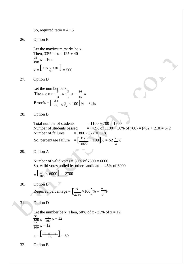So, required ratio  $= 4 : 3$ 

26. Option B

 $x = \left[ \frac{165 \times 100}{33} \right] = 500$ Let the maximum marks be x. Then, 33% of  $x = 125 + 40$  $\frac{33}{100}x = 165$ 

27. Option D

Error% =  $\left[\frac{16x}{15}\right]$ Let the number be x. Then, error  $=\frac{5}{3}$  x  $\frac{3}{5}$  $rac{3}{5}$  x =  $rac{16}{15}$  x  $\frac{3}{15} \times \frac{3}{5}$  $\frac{3}{5x} \times 100$ ]% = 64%

28. Option B

So, percentage failure  $=$   $\left[\frac{1128}{1800} \times 100\right]$ Total number of students  $= 1100 + 700 = 1800$ Number of students passed  $= (42\% \text{ of } 1100 + 30\% \text{ of } 700) = (462 + 210) = 672$ Number of failures  $= 1800 - 672 = 1128$  $\frac{1128}{1800} \times 100$  % = 62  $\frac{2}{3}$ %

29. Option A

Number of valid votes  $= 80\%$  of  $7500 = 6000$ So, valid votes polled by other candidate  $= 45\%$  of 6000

$$
= \left[\frac{45}{100} \times 6000\right] = 2700
$$

30. Option B

Required percentage =  $\left[\frac{5}{2250} \times 100\right]$ 2250  $\times100$   $\% = \frac{2}{\%}$ 9

#### 31. Option D

 $x = \left[ \frac{12 \times 100}{15} \right] = 80$ Let the number be x. Then, 50% of  $x - 35%$  of  $x = 12$ 50 100 15 100  $x - \frac{35}{100}$ 100  $x = 12$  $x = 12$ 

32. Option B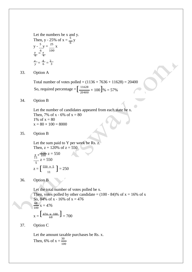Let the numbers be x and y. Then, y - 25% of x =  $\frac{5}{6}$  y  $y - \frac{5}{y} = \frac{25}{x}$  $\frac{y}{6} = \frac{x}{4}$ 6 100  $\frac{x}{y} = \frac{4}{6} = \frac{2}{3}$  $y = 6 = 3$ 

33. Option A

So, required percentage  $=\left[\frac{11628}{20400}\right]$ Total number of votes polled =  $(1136 + 7636 + 11628) = 20400$  $\frac{11628}{20400} \times 100$   $\frac{9}{6} = 57\%$ 

34. Option B

Let the number of candidates appeared from each state be x. Then, 7% of x - 6% of  $x = 80$ 1% of  $x = 80$  $x = 80 \times 100 = 8000$ 

35. Option B

Let the sum paid to Y per week be Rs. z. Then,  $z + 120\%$  of  $z = 550$ 

$$
\frac{z}{5} + \frac{120}{100} z = 550
$$
  

$$
\frac{11}{5} z = 550
$$
  

$$
z = \left[\frac{550 \times 5}{11}\right] = 250
$$

36. Option B

 $x = \left[ \frac{476 \times 100}{68} \right] = 700$ Let the total number of votes polled be x. Then, votes polled by other candidate =  $(100 - 84)$ % of x = 16% of x So, 84% of x - 16% of  $x = 476$ 68  $\frac{00}{100}$  x = 476

37. Option C

Let the amount taxable purchases be Rs. x. Then, 6% of  $x = \frac{30}{100}$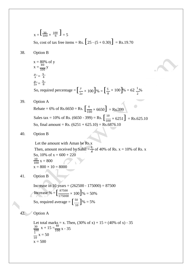$x = \left[\frac{30}{100} \times \frac{100}{6}\right] = 5$ So, cost of tax free items = Rs.  $[25 - (5 + 0.30)] =$  Rs.19.70

38. Option B

x = 80% of y  
\nx = 
$$
\frac{80}{100}
$$
 y  
\n $\frac{y}{x} = \frac{5}{4}$   
\n $\frac{2}{2x} = \frac{5}{8}$   
\nSo, required percentage =  $\left[\frac{y}{2x} \times 100\right] \% = \left[\frac{5}{8} \times 100\right] \% = 62 \frac{1}{2}\%$ 

39. Option A

Rebate = 6% of Rs.6650 = Rs.  $\left[\frac{6}{100} \times 6650\right]$  = Rs.399 Sales tax = 10% of Rs. (6650 - 399) = Rs.  $\left[\frac{10}{100} \times 6251\right]$  = Rs.625.10 So, final amount = Rs.  $(6251 + 625.10) =$  Rs. 6876.10

40. Option B

Let the amount with Aman be Rs.x Then, amount received by Sahil  $=\frac{1}{4}$  of 40% of Rs. x = 10% of Rs. x So, 10% of  $x = 600 + 220$  $\frac{10}{100}x = 800$  $x = 800 \times 10 = 8000$ 

41. Option B

Increase % =  $\left[\frac{87500}{175000}\right]$ So, required average =  $\left[\frac{50}{10}\right]\% = 5\%$ Increase in 10 years =  $(262500 - 175000) = 87500$  $\frac{87500}{175000} \times 100$ ]% = 50% 10

#### 42. Option A

Let total marks = x. Then,  $(30\% \text{ of } x) + 15 = (40\% \text{ of } x) - 35$ 30  $\frac{30}{100}$  x + 15 =  $\frac{40}{100}$  x - 35  $\frac{1}{10}$  x = 50  $x = 500$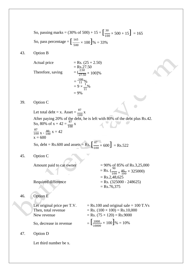So, passing marks = (30% of 500) + 15 = 
$$
\left[\frac{30}{100} \times 500 + 15\right]
$$
 = 165  
So, pass percentage =  $\left[\frac{165}{500} \times 100\right]$ % = 33%

#### 43. Option B

Actual price  $=$  Rs.  $(25 + 2.50)$ 

Therefore, saving

$$
= \text{Rs.}27.50
$$
  
=  $(\frac{2.50}{27.50} \times 100)\%$   
=  $\frac{100}{11}\%$   
=  $9 \times \frac{1}{11}\%$   
= 9%

#### 39. Option C

So, debt = Rs.600 and assets = Rs.  $\left[\frac{87}{100}\right]$ Let total debt = x. Asset =  $\frac{87}{100}$  x After paying 20% of the debt, he is left with 80% of the debt plus Rs.42. So, 80% of x + 42 =  $\frac{87}{100}$  x  $\frac{87}{100}$  x -  $\frac{80}{100}$  x = 42  $x = 600$  $\frac{87}{100}$  × 600] = Rs.522

45. Option C

Amount paid to car owner  $= 90\%$  of 85% of Rs.3,25,000  $=$  Rs.  $\left(\frac{90}{100} \times \frac{85}{100} \times 325000\right)$  $=$  Rs.2,48,625 Required difference  $=$  Rs. (325000 - 248625)  $=$  Rs.76,375

#### 46. Option E

| Let original price per T.V. | $=$ Rs.100 and original sale $= 100$ T.Vs            |
|-----------------------------|------------------------------------------------------|
| Then, total revenue         | $=$ Rs. (100 $\times$ 100) $=$ Rs. 10,000            |
| New revenue                 | $=$ Rs. (75 $\times$ 120) $=$ Rs.9000                |
| So, decrease in revenue     | $=\left[\frac{1000}{10000}\times100\right]\% = 10\%$ |

47. Option D

Let third number be x.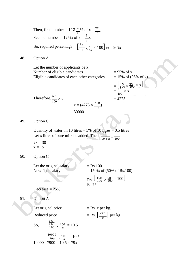So, required percentage =  $\left[\frac{9x}{8}\right]$ [  $\text{Rs.}$   $\left[\frac{150}{100} \times \frac{50}{100} \times 100\right]$ Reduced price  $=$  Rs.  $\left[\frac{79x}{100}\right]$  per kg Then, first number =  $112 \frac{1}{8}$ % of x =  $\frac{9x}{8}$ 2 8 Second number = 125% of  $x = \frac{5}{4}x$  $\frac{x}{8} \times \frac{4}{5}$  $\frac{4}{5x} \times 100$ ]% = 90% 48. Option A Let the number of applicants be x. Number of eligible candidates  $= 95\%$  of x Eligible candidates of each other categories  $= 15\%$  of (95% of x) = 15  $\frac{1}{100}$   $\times$ 95 = 57  $\times$  x 400 Therefore, $\frac{57}{5}$ 400  $\times x = 4275$  $x = (4275 \times \frac{400}{57})$ 30000 Quantity of water in 10 litres  $= 5\%$  of 10 litres  $= 0.5$  litres Let x litres of pure milk be added. Then,  $\frac{0.5}{10 + x} = \frac{2}{100}$  $2x = 30$  $x = 15$ Let the original salary  $=$  Rs.100 New final salary  $= 150\% \text{ of } (50\% \text{ of Rs.100})$ Decrease = 25% Rs.75 Let original price  $=$  Rs. x per kg. 100

So, 
$$
\frac{79x}{100} - \frac{100}{x} = 10.5
$$

$$
\frac{10000}{79x} - \frac{100}{x} = 10.5
$$
  
10000 - 7900 = 10.5 × 79x

$$
=\frac{\left[\frac{15}{100} \times \frac{95}{100} \times x\right]}{400} \times x
$$
  
= 4275

49. Option C

50. Option C

51. Option A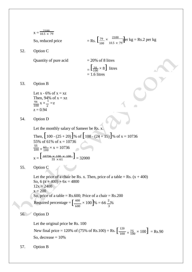x = 
$$
\frac{2100}{10.5 \times 79}
$$
  
\nSo, reduced price  
\n90000  
\n10100  
\n102000  
\n103000  
\n104000  
\n105000  
\n1061  
\n107000  
\n1081  
\n109100  
\n10110  
\n10110  
\n10110  
\n10110  
\n10110  
\n10110  
\n10110  
\n10110  
\n10110  
\n10110  
\n10110  
\n10110  
\n10110  
\n10110  
\n10110  
\n10110  
\n10110  
\n10110  
\n10110  
\n10110  
\n10110  
\n10110  
\n10110  
\n10110  
\n10110  
\n10110  
\n10110  
\n1010  
\n10110  
\n1010  
\n1010  
\n1010  
\n1010  
\n1010  
\n1010  
\n1010  
\n1010  
\n1010  
\n1010  
\n1010  
\n1010  
\n1010  
\n1010  
\n1010  
\n1010  
\n1010  
\n1010  
\n1010  
\n1010  
\n1010  
\n1010  
\n1010  
\n1010  
\n1010  
\n1010  
\n1010  
\n1010  
\n1010  
\n1010  
\n1010  
\n1010  
\n1010  
\n1010  
\n1010  
\n1010  
\n1010  
\n1010  
\n1010  
\n1010  
\n1010  
\n1010  
\n1010  
\n1010  
\n1010  
\n1010  
\n1010  
\n1010  
\n1010  
\n1010  
\n1010  
\n1010  
\n1010  
\n1010  
\n1010  
\n1010  
\n1010  
\n1010  
\n1010  
\n101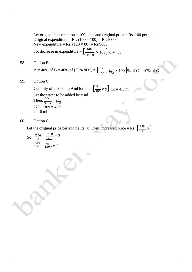Let original consumption  $= 100$  units and original price  $=$  Rs. 100 per unit Original expenditure = Rs.  $(100 \times 100)$  = Rs.  $10000$ New expenditure = Rs.  $(120 \times 80)$  = Rs.9600

So, decrease in expenditure =  $\frac{400}{1000}$  $\frac{400}{10000} \times 100$ ]% = 4%

58. Option B

A = 40% of B = 40% of (25% of C) = 
$$
\left[\frac{40}{100} \times \frac{25}{100} \times 100\right]
$$
% of C = 10% of C

59. Option C

Quantity of alcohol in 9 ml lotion =  $\left[\frac{50}{100} \times 9\right]$  ml = 4.5 ml Let the water to be added be x ml. Then,  $\frac{4.5}{9 + x} = \frac{30}{100}$  $270 + 30x = 450$  $x = 6$  ml

#### 60. Option C

Let the original price per egg be Rs. x. Then, increased price = Rs.  $\left[\frac{130}{100} \text{ x}\right]$ 

So, 
$$
\frac{7.80}{x} - \frac{7.80}{\frac{130}{x} - x} = 3
$$

$$
\frac{7.80}{x} - \frac{7.80}{130} = 3
$$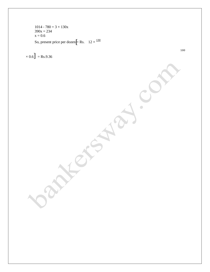So, present price per dozen  $\left[\right]$  Rs.  $12 \times \frac{130}{130}$  $1014 - 780 = 3 \times 130x$  $390x = 234$  $x = 0.6$ 

 $\times 0.6$ ] = Rs.9.36

100